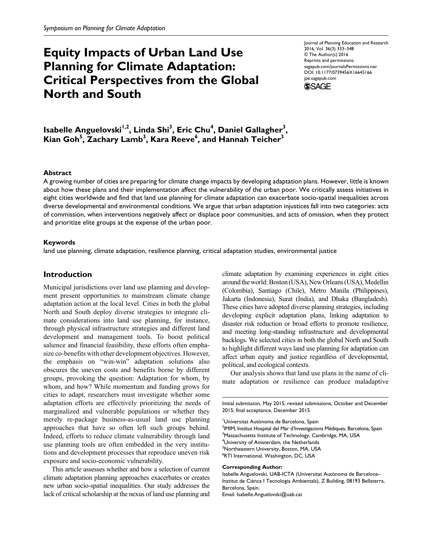# **Equity Impacts of Urban Land Use Planning for Climate Adaptation: Critical Perspectives from the Global North and South**

Journal of Planning Education and Research 2016, Vol. 36(3) 333–348 © The Author(s) 2016 Reprints and permissions: sagepub.com/journalsPermissions.nav DOI: 10.1177/0739456X16645166 jpe.sagepub.com



**Isabelle Anguelovski<sup>1,2</sup>, Linda Shi<sup>3</sup>, Eric Chu<sup>4</sup>, Daniel Gallagher<sup>3</sup>, Kian Goh<sup>5</sup> , Zachary Lamb3 , Kara Reeve6 , and Hannah Teicher3**

#### **Abstract**

A growing number of cities are preparing for climate change impacts by developing adaptation plans. However, little is known about how these plans and their implementation affect the vulnerability of the urban poor. We critically assess initiatives in eight cities worldwide and find that land use planning for climate adaptation can exacerbate socio-spatial inequalities across diverse developmental and environmental conditions. We argue that urban adaptation injustices fall into two categories: acts of commission, when interventions negatively affect or displace poor communities, and acts of omission, when they protect and prioritize elite groups at the expense of the urban poor.

## **Keywords**

land use planning, climate adaptation, resilience planning, critical adaptation studies, environmental justice

## **Introduction**

Municipal jurisdictions over land use planning and development present opportunities to mainstream climate change adaptation action at the local level. Cities in both the global North and South deploy diverse strategies to integrate climate considerations into land use planning, for instance, through physical infrastructure strategies and different land development and management tools. To boost political salience and financial feasibility, these efforts often emphasize co-benefits with other development objectives. However, the emphasis on "win-win" adaptation solutions also obscures the uneven costs and benefits borne by different groups, provoking the question: Adaptation for whom, by whom, and how? While momentum and funding grows for cities to adapt, researchers must investigate whether some adaptation efforts are effectively prioritizing the needs of marginalized and vulnerable populations or whether they merely re-package business-as-usual land use planning approaches that have so often left such groups behind. Indeed, efforts to reduce climate vulnerability through land use planning tools are often embedded in the very institutions and development processes that reproduce uneven risk exposure and socio-economic vulnerability.

This article assesses whether and how a selection of current climate adaptation planning approaches exacerbates or creates new urban socio-spatial inequalities. Our study addresses the lack of critical scholarship at the nexus of land use planning and

climate adaptation by examining experiences in eight cities around the world: Boston (USA), New Orleans (USA), Medellin (Colombia), Santiago (Chile), Metro Manila (Philippines), Jakarta (Indonesia), Surat (India), and Dhaka (Bangladesh). These cities have adopted diverse planning strategies, including developing explicit adaptation plans, linking adaptation to disaster risk reduction or broad efforts to promote resilience, and meeting long-standing infrastructure and developmental backlogs. We selected cities in both the global North and South to highlight different ways land use planning for adaptation can affect urban equity and justice regardless of developmental, political, and ecological contexts.

Our analysis shows that land use plans in the name of climate adaptation or resilience can produce maladaptive

Initial submission, May 2015; revised submissions, October and December 2015; final acceptance, December 2015

<sup>1</sup>Universitat Autònoma de Barcelona, Spain <sup>2</sup>IMIM, Institut Hospital del Mar d'Investigacions Mèdiques, Barcelona, Spain <sup>3</sup>Massachusetts Institute of Technology, Cambridge, MA, USA 4 University of Amsterdam, the Netherlands 5 Northeastern University, Boston, MA, USA 6 RTI International, Washington, DC, USA

#### **Corresponding Author:**

Isabelle Anguelovski, UAB-ICTA (Universitat Autònoma de Barcelona– Institut de Ciènca I Tecnologia Ambientals), Z Building, 08193 Bellaterra, Barcelona, Spain. Email: [Isabelle.Anguelovski@uab.cat](mailto:Isabelle.Anguelovski@uab.cat)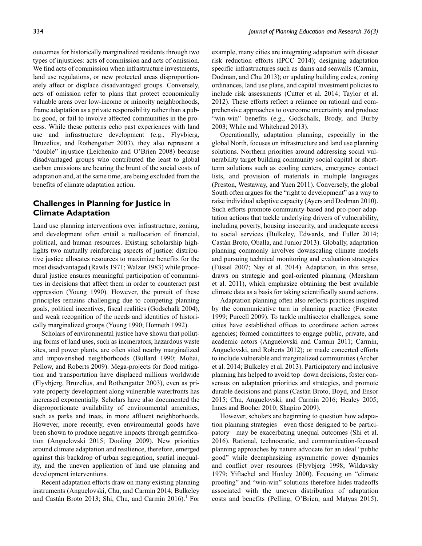outcomes for historically marginalized residents through two types of injustices: acts of commission and acts of omission. We find acts of commission when infrastructure investments, land use regulations, or new protected areas disproportionately affect or displace disadvantaged groups. Conversely, acts of omission refer to plans that protect economically valuable areas over low-income or minority neighborhoods, frame adaptation as a private responsibility rather than a public good, or fail to involve affected communities in the process. While these patterns echo past experiences with land use and infrastructure development (e.g., Flyvbjerg, Bruzelius, and Rothengatter 2003), they also represent a "double" injustice (Leichenko and O'Brien 2008) because disadvantaged groups who contributed the least to global carbon emissions are bearing the brunt of the social costs of adaptation and, at the same time, are being excluded from the benefits of climate adaptation action.

# **Challenges in Planning for Justice in Climate Adaptation**

Land use planning interventions over infrastructure, zoning, and development often entail a reallocation of financial, political, and human resources. Existing scholarship highlights two mutually reinforcing aspects of justice: distributive justice allocates resources to maximize benefits for the most disadvantaged (Rawls 1971; Walzer 1983) while procedural justice ensures meaningful participation of communities in decisions that affect them in order to counteract past oppression (Young 1990). However, the pursuit of these principles remains challenging due to competing planning goals, political incentives, fiscal realities (Godschalk 2004), and weak recognition of the needs and identities of historically marginalized groups (Young 1990; Honneth 1992).

Scholars of environmental justice have shown that polluting forms of land uses, such as incinerators, hazardous waste sites, and power plants, are often sited nearby marginalized and impoverished neighborhoods (Bullard 1990; Mohai, Pellow, and Roberts 2009). Mega-projects for flood mitigation and transportation have displaced millions worldwide (Flyvbjerg, Bruzelius, and Rothengatter 2003), even as private property development along vulnerable waterfronts has increased exponentially. Scholars have also documented the disproportionate availability of environmental amenities, such as parks and trees, in more affluent neighborhoods. However, more recently, even environmental goods have been shown to produce negative impacts through gentrification (Anguelovski 2015; Dooling 2009). New priorities around climate adaptation and resilience, therefore, emerged against this backdrop of urban segregation, spatial inequality, and the uneven application of land use planning and development interventions.

Recent adaptation efforts draw on many existing planning instruments (Anguelovski, Chu, and Carmin 2014; Bulkeley and Castán Broto 2013; Shi, Chu, and Carmin 2016).<sup>1</sup> For example, many cities are integrating adaptation with disaster risk reduction efforts (IPCC 2014); designing adaptation specific infrastructures such as dams and seawalls (Carmin, Dodman, and Chu 2013); or updating building codes, zoning ordinances, land use plans, and capital investment policies to include risk assessments (Cutter et al. 2014; Taylor et al. 2012). These efforts reflect a reliance on rational and comprehensive approaches to overcome uncertainty and produce "win-win" benefits (e.g., Godschalk, Brody, and Burby 2003; While and Whitehead 2013).

Operationally, adaptation planning, especially in the global North, focuses on infrastructure and land use planning solutions. Northern priorities around addressing social vulnerability target building community social capital or shortterm solutions such as cooling centers, emergency contact lists, and provision of materials in multiple languages (Preston, Westaway, and Yuen 2011). Conversely, the global South often argues for the "right to development" as a way to raise individual adaptive capacity (Ayers and Dodman 2010). Such efforts promote community-based and pro-poor adaptation actions that tackle underlying drivers of vulnerability, including poverty, housing insecurity, and inadequate access to social services (Bulkeley, Edwards, and Fuller 2014; Castán Broto, Oballa, and Junior 2013). Globally, adaptation planning commonly involves downscaling climate models and pursuing technical monitoring and evaluation strategies (Füssel 2007; Nay et al. 2014). Adaptation, in this sense, draws on strategic and goal-oriented planning (Measham et al. 2011), which emphasize obtaining the best available climate data as a basis for taking scientifically sound actions.

Adaptation planning often also reflects practices inspired by the communicative turn in planning practice (Forester 1999; Purcell 2009). To tackle multisector challenges, some cities have established offices to coordinate action across agencies; formed committees to engage public, private, and academic actors (Anguelovski and Carmin 2011; Carmin, Anguelovski, and Roberts 2012); or made concerted efforts to include vulnerable and marginalized communities (Archer et al. 2014; Bulkeley et al. 2013). Participatory and inclusive planning has helped to avoid top–down decisions, foster consensus on adaptation priorities and strategies, and promote durable decisions and plans (Castán Broto, Boyd, and Ensor 2015; Chu, Anguelovski, and Carmin 2016; Healey 2005; Innes and Booher 2010; Shapiro 2009).

However, scholars are beginning to question how adaptation planning strategies—even those designed to be participatory—may be exacerbating unequal outcomes (Shi et al. 2016). Rational, technocratic, and communication-focused planning approaches by nature advocate for an ideal "public good" while deemphasizing asymmetric power dynamics and conflict over resources (Flyvbjerg 1998; Wildavsky 1979; Yiftachel and Huxley 2000). Focusing on "climate proofing" and "win-win" solutions therefore hides tradeoffs associated with the uneven distribution of adaptation costs and benefits (Pelling, O'Brien, and Matyas 2015).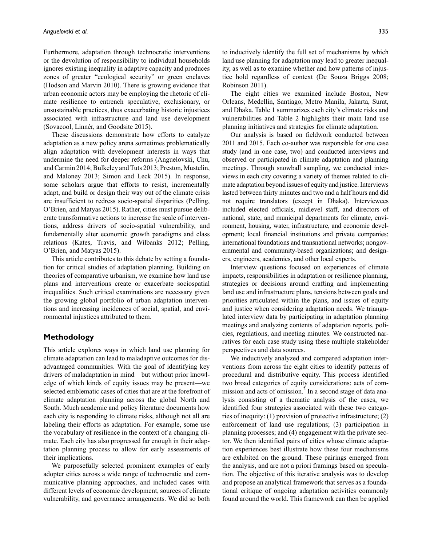Furthermore, adaptation through technocratic interventions or the devolution of responsibility to individual households ignores existing inequality in adaptive capacity and produces zones of greater "ecological security" or green enclaves (Hodson and Marvin 2010). There is growing evidence that urban economic actors may be employing the rhetoric of climate resilience to entrench speculative, exclusionary, or unsustainable practices, thus exacerbating historic injustices associated with infrastructure and land use development (Sovacool, Linnér, and Goodsite 2015).

These discussions demonstrate how efforts to catalyze adaptation as a new policy arena sometimes problematically align adaptation with development interests in ways that undermine the need for deeper reforms (Anguelovski, Chu, and Carmin 2014; Bulkeley and Tuts 2013; Preston, Mustelin, and Maloney 2013; Simon and Leck 2015). In response, some scholars argue that efforts to resist, incrementally adapt, and build or design their way out of the climate crisis are insufficient to redress socio-spatial disparities (Pelling, O'Brien, and Matyas 2015). Rather, cities must pursue deliberate transformative actions to increase the scale of interventions, address drivers of socio-spatial vulnerability, and fundamentally alter economic growth paradigms and class relations (Kates, Travis, and Wilbanks 2012; Pelling, O'Brien, and Matyas 2015).

This article contributes to this debate by setting a foundation for critical studies of adaptation planning. Building on theories of comparative urbanism, we examine how land use plans and interventions create or exacerbate sociospatial inequalities. Such critical examinations are necessary given the growing global portfolio of urban adaptation interventions and increasing incidences of social, spatial, and environmental injustices attributed to them.

## **Methodology**

This article explores ways in which land use planning for climate adaptation can lead to maladaptive outcomes for disadvantaged communities. With the goal of identifying key drivers of maladaptation in mind—but without prior knowledge of which kinds of equity issues may be present—we selected emblematic cases of cities that are at the forefront of climate adaptation planning across the global North and South. Much academic and policy literature documents how each city is responding to climate risks, although not all are labeling their efforts as adaptation. For example, some use the vocabulary of resilience in the context of a changing climate. Each city has also progressed far enough in their adaptation planning process to allow for early assessments of their implications.

We purposefully selected prominent examples of early adopter cities across a wide range of technocratic and communicative planning approaches, and included cases with different levels of economic development, sources of climate vulnerability, and governance arrangements. We did so both to inductively identify the full set of mechanisms by which land use planning for adaptation may lead to greater inequality, as well as to examine whether and how patterns of injustice hold regardless of context (De Souza Briggs 2008; Robinson 2011).

The eight cities we examined include Boston, New Orleans, Medellin, Santiago, Metro Manila, Jakarta, Surat, and Dhaka. Table 1 summarizes each city's climate risks and vulnerabilities and Table 2 highlights their main land use planning initiatives and strategies for climate adaptation.

Our analysis is based on fieldwork conducted between 2011 and 2015. Each co-author was responsible for one case study (and in one case, two) and conducted interviews and observed or participated in climate adaptation and planning meetings. Through snowball sampling, we conducted interviews in each city covering a variety of themes related to climate adaptation beyond issues of equity and justice. Interviews lasted between thirty minutes and two and a half hours and did not require translators (except in Dhaka). Interviewees included elected officials, midlevel staff, and directors of national, state, and municipal departments for climate, environment, housing, water, infrastructure, and economic development; local financial institutions and private companies; international foundations and transnational networks; nongovernmental and community-based organizations; and designers, engineers, academics, and other local experts.

Interview questions focused on experiences of climate impacts, responsibilities in adaptation or resilience planning, strategies or decisions around crafting and implementing land use and infrastructure plans, tensions between goals and priorities articulated within the plans, and issues of equity and justice when considering adaptation needs. We triangulated interview data by participating in adaptation planning meetings and analyzing contents of adaptation reports, policies, regulations, and meeting minutes. We constructed narratives for each case study using these multiple stakeholder perspectives and data sources.

We inductively analyzed and compared adaptation interventions from across the eight cities to identify patterns of procedural and distributive equity. This process identified two broad categories of equity considerations: acts of commission and acts of omission.<sup>2</sup> In a second stage of data analysis consisting of a thematic analysis of the cases, we identified four strategies associated with these two categories of inequity: (1) provision of protective infrastructure; (2) enforcement of land use regulations; (3) participation in planning processes; and (4) engagement with the private sector. We then identified pairs of cities whose climate adaptation experiences best illustrate how these four mechanisms are exhibited on the ground. These pairings emerged from the analysis, and are not a priori framings based on speculation. The objective of this iterative analysis was to develop and propose an analytical framework that serves as a foundational critique of ongoing adaptation activities commonly found around the world. This framework can then be applied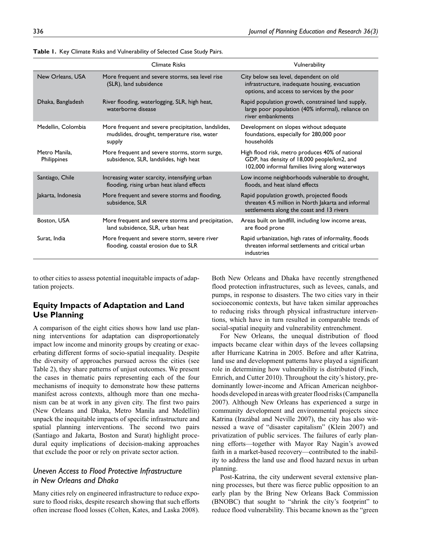|                              | <b>Climate Risks</b>                                                                                         | Vulnerability                                                                                                                                     |
|------------------------------|--------------------------------------------------------------------------------------------------------------|---------------------------------------------------------------------------------------------------------------------------------------------------|
| New Orleans, USA             | More frequent and severe storms, sea level rise<br>(SLR), land subsidence                                    | City below sea level, dependent on old<br>infrastructure, inadequate housing, evacuation<br>options, and access to services by the poor           |
| Dhaka, Bangladesh            | River flooding, waterlogging, SLR, high heat,<br>waterborne disease                                          | Rapid population growth, constrained land supply,<br>large poor population (40% informal), reliance on<br>river embankments                       |
| Medellin, Colombia           | More frequent and severe precipitation, landslides,<br>mudslides, drought, temperature rise, water<br>supply | Development on slopes without adequate<br>foundations, especially for 280,000 poor<br>households                                                  |
| Metro Manila.<br>Philippines | More frequent and severe storms, storm surge,<br>subsidence, SLR, landslides, high heat                      | High flood risk, metro produces 40% of national<br>GDP, has density of 18,000 people/km2, and<br>102,000 informal families living along waterways |
| Santiago, Chile              | Increasing water scarcity, intensifying urban<br>flooding, rising urban heat island effects                  | Low income neighborhoods vulnerable to drought,<br>floods, and heat island effects                                                                |
| Jakarta, Indonesia           | More frequent and severe storms and flooding,<br>subsidence, SLR                                             | Rapid population growth, projected floods<br>threaten 4.5 million in North Jakarta and informal<br>settlements along the coast and 13 rivers      |
| Boston, USA                  | More frequent and severe storms and precipitation,<br>land subsidence, SLR, urban heat                       | Areas built on landfill, including low income areas,<br>are flood prone                                                                           |
| Surat, India                 | More frequent and severe storm, severe river<br>flooding, coastal erosion due to SLR                         | Rapid urbanization, high rates of informality, floods<br>threaten informal settlements and critical urban<br>industries                           |

**Table 1.** Key Climate Risks and Vulnerability of Selected Case Study Pairs.

to other cities to assess potential inequitable impacts of adaptation projects.

# **Equity Impacts of Adaptation and Land Use Planning**

A comparison of the eight cities shows how land use planning interventions for adaptation can disproportionately impact low income and minority groups by creating or exacerbating different forms of socio-spatial inequality. Despite the diversity of approaches pursued across the cities (see Table 2), they share patterns of unjust outcomes. We present the cases in thematic pairs representing each of the four mechanisms of inequity to demonstrate how these patterns manifest across contexts, although more than one mechanism can be at work in any given city. The first two pairs (New Orleans and Dhaka, Metro Manila and Medellin) unpack the inequitable impacts of specific infrastructure and spatial planning interventions. The second two pairs (Santiago and Jakarta, Boston and Surat) highlight procedural equity implications of decision-making approaches that exclude the poor or rely on private sector action.

# *Uneven Access to Flood Protective Infrastructure in New Orleans and Dhaka*

Many cities rely on engineered infrastructure to reduce exposure to flood risks, despite research showing that such efforts often increase flood losses (Colten, Kates, and Laska 2008). Both New Orleans and Dhaka have recently strengthened flood protection infrastructures, such as levees, canals, and pumps, in response to disasters. The two cities vary in their socioeconomic contexts, but have taken similar approaches to reducing risks through physical infrastructure interventions, which have in turn resulted in comparable trends of social-spatial inequity and vulnerability entrenchment.

For New Orleans, the unequal distribution of flood impacts became clear within days of the levees collapsing after Hurricane Katrina in 2005. Before and after Katrina, land use and development patterns have played a significant role in determining how vulnerability is distributed (Finch, Emrich, and Cutter 2010). Throughout the city's history, predominantly lower-income and African American neighborhoods developed in areas with greater flood risks (Campanella 2007). Although New Orleans has experienced a surge in community development and environmental projects since Katrina (Irazábal and Neville 2007), the city has also witnessed a wave of "disaster capitalism" (Klein 2007) and privatization of public services. The failures of early planning efforts—together with Mayor Ray Nagin's avowed faith in a market-based recovery—contributed to the inability to address the land use and flood hazard nexus in urban planning.

Post-Katrina, the city underwent several extensive planning processes, but there was fierce public opposition to an early plan by the Bring New Orleans Back Commission (BNOBC) that sought to "shrink the city's footprint" to reduce flood vulnerability. This became known as the "green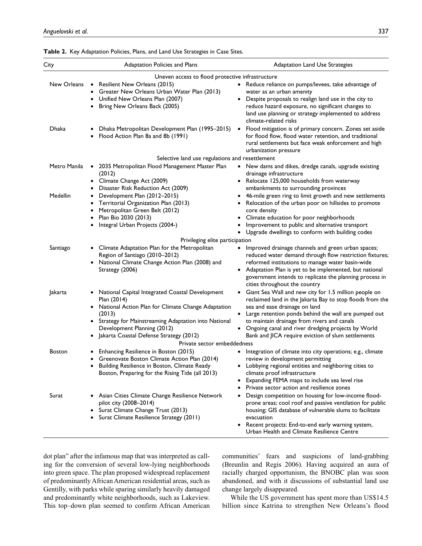| City                                             | Adaptation Policies and Plans                                                                                                                                   | Adaptation Land Use Strategies                                                                                                                                                                                                                                                                                          |  |
|--------------------------------------------------|-----------------------------------------------------------------------------------------------------------------------------------------------------------------|-------------------------------------------------------------------------------------------------------------------------------------------------------------------------------------------------------------------------------------------------------------------------------------------------------------------------|--|
| Uneven access to flood protective infrastructure |                                                                                                                                                                 |                                                                                                                                                                                                                                                                                                                         |  |
| New Orleans                                      | • Resilient New Orleans (2015)<br>Greater New Orleans Urban Water Plan (2013)<br>Unified New Orleans Plan (2007)<br>Bring New Orleans Back (2005)               | • Reduce reliance on pumps/levees, take advantage of<br>water as an urban amenity<br>Despite proposals to realign land use in the city to<br>$\bullet$<br>reduce hazard exposure, no significant changes to<br>land use planning or strategy implemented to address<br>climate-related risks                            |  |
| Dhaka                                            | Dhaka Metropolitan Development Plan (1995–2015)<br>Flood Action Plan 8a and 8b (1991)                                                                           | Flood mitigation is of primary concern. Zones set aside<br>$\bullet$<br>for flood flow, flood water retention, and traditional<br>rural settlements but face weak enforcement and high<br>urbanization pressure                                                                                                         |  |
|                                                  | Selective land use regulations and resettlement                                                                                                                 |                                                                                                                                                                                                                                                                                                                         |  |
| Metro Manila                                     | • 2035 Metropolitan Flood Management Master Plan<br>(2012)<br>• Climate Change Act (2009)                                                                       | • New dams and dikes, dredge canals, upgrade existing<br>drainage infrastructure<br>• Relocate 125,000 households from waterway                                                                                                                                                                                         |  |
| Medellin                                         | Disaster Risk Reduction Act (2009)<br>Development Plan (2012-2015)                                                                                              | embankments to surrounding provinces<br>• 46-mile green ring to limit growth and new settlements                                                                                                                                                                                                                        |  |
|                                                  | Territorial Organization Plan (2013)<br>Metropolitan Green Belt (2012)<br>Plan Bio 2030 (2013)                                                                  | Relocation of the urban poor on hillsides to promote<br>$\bullet$<br>core density<br>Climate education for poor neighborhoods                                                                                                                                                                                           |  |
|                                                  | Integral Urban Projects (2004-)                                                                                                                                 | Improvement to public and alternative transport<br>Upgrade dwellings to conform with building codes                                                                                                                                                                                                                     |  |
|                                                  | Privileging elite participation                                                                                                                                 |                                                                                                                                                                                                                                                                                                                         |  |
| Santiago                                         | Climate Adaptation Plan for the Metropolitan<br>Region of Santiago (2010-2012)<br>• National Climate Change Action Plan (2008) and<br>Strategy (2006)           | Improved drainage channels and green urban spaces;<br>reduced water demand through flow restriction fixtures;<br>reformed institutions to manage water basin-wide<br>Adaptation Plan is yet to be implemented, but national<br>government intends to replicate the planning process in<br>cities throughout the country |  |
| Jakarta                                          | National Capital Integrated Coastal Development<br>Plan (2014)<br>• National Action Plan for Climate Change Adaptation                                          | Giant Sea Wall and new city for 1.5 million people on<br>٠<br>reclaimed land in the Jakarta Bay to stop floods from the<br>sea and ease drainage on land                                                                                                                                                                |  |
|                                                  | (2013)<br>• Strategy for Mainstreaming Adaptation into National<br>Development Planning (2012)                                                                  | Large retention ponds behind the wall are pumped out<br>$\bullet$<br>to maintain drainage from rivers and canals<br>• Ongoing canal and river dredging projects by World                                                                                                                                                |  |
|                                                  | Jakarta Coastal Defense Strategy (2012)<br>Private sector embeddedness                                                                                          | Bank and JICA require eviction of slum settlements                                                                                                                                                                                                                                                                      |  |
| <b>Boston</b>                                    | Enhancing Resilience in Boston (2015)                                                                                                                           | • Integration of climate into city operations; e.g., climate                                                                                                                                                                                                                                                            |  |
|                                                  | Greenovate Boston Climate Action Plan (2014)<br>Building Resilience in Boston, Climate Ready<br>Boston, Preparing for the Rising Tide (all 2013)                | review in development permitting<br>Lobbying regional entities and neighboring cities to<br>climate proof infrastructure<br>Expanding FEMA maps to include sea level rise<br>Private sector action and resilience zones                                                                                                 |  |
| Surat                                            | • Asian Cities Climate Change Resilience Network<br>pilot city (2008-2014)<br>• Surat Climate Change Trust (2013)<br>• Surat Climate Resilience Strategy (2011) | Design competition on housing for low-income flood-<br>prone areas; cool roof and passive ventilation for public<br>housing; GIS database of vulnerable slums to facilitate<br>evacuation<br>Recent projects: End-to-end early warning system,<br>٠<br>Urban Health and Climate Resilience Centre                       |  |

**Table 2.** Key Adaptation Policies, Plans, and Land Use Strategies in Case Sites.

dot plan" after the infamous map that was interpreted as calling for the conversion of several low-lying neighborhoods into green space. The plan proposed widespread replacement of predominantly African American residential areas, such as Gentilly, with parks while sparing similarly heavily damaged and predominantly white neighborhoods, such as Lakeview. This top–down plan seemed to confirm African American communities' fears and suspicions of land-grabbing (Breunlin and Regis 2006). Having acquired an aura of racially charged opportunism, the BNOBC plan was soon abandoned, and with it discussions of substantial land use change largely disappeared.

While the US government has spent more than US\$14.5 billion since Katrina to strengthen New Orleans's flood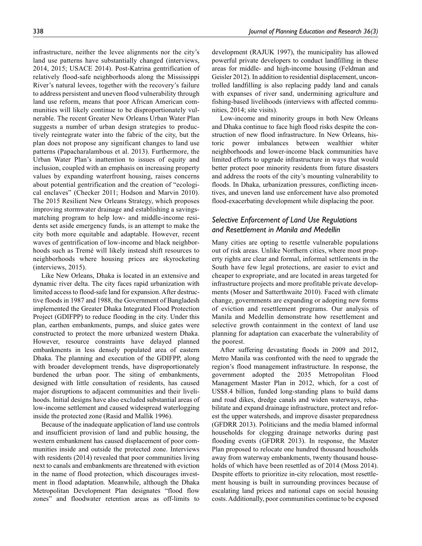infrastructure, neither the levee alignments nor the city's land use patterns have substantially changed (interviews, 2014, 2015; USACE 2014). Post-Katrina gentrification of relatively flood-safe neighborhoods along the Mississippi River's natural levees, together with the recovery's failure to address persistent and uneven flood vulnerability through land use reform, means that poor African American communities will likely continue to be disproportionately vulnerable. The recent Greater New Orleans Urban Water Plan suggests a number of urban design strategies to productively reintegrate water into the fabric of the city, but the plan does not propose any significant changes to land use patterns (Papacharalambous et al. 2013). Furthermore, the Urban Water Plan's inattention to issues of equity and inclusion, coupled with an emphasis on increasing property values by expanding waterfront housing, raises concerns about potential gentrification and the creation of "ecological enclaves" (Checker 2011; Hodson and Marvin 2010). The 2015 Resilient New Orleans Strategy, which proposes improving stormwater drainage and establishing a savingsmatching program to help low- and middle-income residents set aside emergency funds, is an attempt to make the city both more equitable and adaptable. However, recent waves of gentrification of low-income and black neighborhoods such as Tremé will likely instead shift resources to neighborhoods where housing prices are skyrocketing (interviews, 2015).

Like New Orleans, Dhaka is located in an extensive and dynamic river delta. The city faces rapid urbanization with limited access to flood-safe land for expansion. After destructive floods in 1987 and 1988, the Government of Bangladesh implemented the Greater Dhaka Integrated Flood Protection Project (GDIFPP) to reduce flooding in the city. Under this plan, earthen embankments, pumps, and sluice gates were constructed to protect the more urbanized western Dhaka. However, resource constraints have delayed planned embankments in less densely populated area of eastern Dhaka. The planning and execution of the GDIFPP, along with broader development trends, have disproportionately burdened the urban poor. The siting of embankments, designed with little consultation of residents, has caused major disruptions to adjacent communities and their livelihoods. Initial designs have also excluded substantial areas of low-income settlement and caused widespread waterlogging inside the protected zone (Rasid and Mallik 1996).

Because of the inadequate application of land use controls and insufficient provision of land and public housing, the western embankment has caused displacement of poor communities inside and outside the protected zone. Interviews with residents (2014) revealed that poor communities living next to canals and embankments are threatened with eviction in the name of flood protection, which discourages investment in flood adaptation. Meanwhile, although the Dhaka Metropolitan Development Plan designates "flood flow zones" and floodwater retention areas as off-limits to

development (RAJUK 1997), the municipality has allowed powerful private developers to conduct landfilling in these areas for middle- and high-income housing (Feldman and Geisler 2012). In addition to residential displacement, uncontrolled landfilling is also replacing paddy land and canals with expanses of river sand, undermining agriculture and fishing-based livelihoods (interviews with affected communities, 2014; site visits).

Low-income and minority groups in both New Orleans and Dhaka continue to face high flood risks despite the construction of new flood infrastructure. In New Orleans, historic power imbalances between wealthier whiter neighborhoods and lower-income black communities have limited efforts to upgrade infrastructure in ways that would better protect poor minority residents from future disasters and address the roots of the city's mounting vulnerability to floods. In Dhaka, urbanization pressures, conflicting incentives, and uneven land use enforcement have also promoted flood-exacerbating development while displacing the poor.

# *Selective Enforcement of Land Use Regulations and Resettlement in Manila and Medellin*

Many cities are opting to resettle vulnerable populations out of risk areas. Unlike Northern cities, where most property rights are clear and formal, informal settlements in the South have few legal protections, are easier to evict and cheaper to expropriate, and are located in areas targeted for infrastructure projects and more profitable private developments (Moser and Satterthwaite 2010). Faced with climate change, governments are expanding or adopting new forms of eviction and resettlement programs. Our analysis of Manila and Medellin demonstrate how resettlement and selective growth containment in the context of land use planning for adaptation can exacerbate the vulnerability of the poorest.

After suffering devastating floods in 2009 and 2012, Metro Manila was confronted with the need to upgrade the region's flood management infrastructure. In response, the government adopted the 2035 Metropolitan Flood Management Master Plan in 2012, which, for a cost of US\$8.4 billion, funded long-standing plans to build dams and road dikes, dredge canals and widen waterways, rehabilitate and expand drainage infrastructure, protect and reforest the upper watersheds, and improve disaster preparedness (GFDRR 2013). Politicians and the media blamed informal households for clogging drainage networks during past flooding events (GFDRR 2013). In response, the Master Plan proposed to relocate one hundred thousand households away from waterway embankments, twenty thousand households of which have been resettled as of 2014 (Moss 2014). Despite efforts to prioritize in-city relocation, most resettlement housing is built in surrounding provinces because of escalating land prices and national caps on social housing costs. Additionally, poor communities continue to be exposed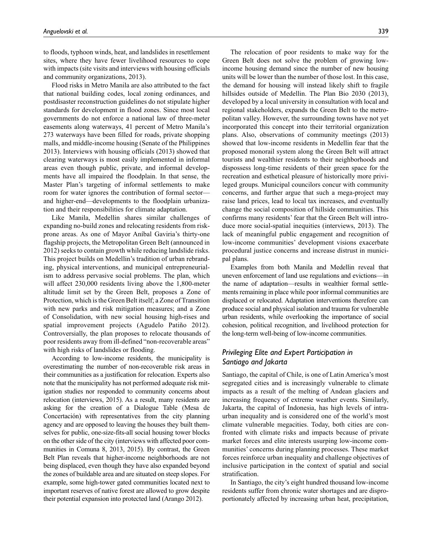to floods, typhoon winds, heat, and landslides in resettlement sites, where they have fewer livelihood resources to cope with impacts (site visits and interviews with housing officials and community organizations, 2013).

Flood risks in Metro Manila are also attributed to the fact that national building codes, local zoning ordinances, and postdisaster reconstruction guidelines do not stipulate higher standards for development in flood zones. Since most local governments do not enforce a national law of three-meter easements along waterways, 41 percent of Metro Manila's 273 waterways have been filled for roads, private shopping malls, and middle-income housing (Senate of the Philippines 2013). Interviews with housing officials (2013) showed that clearing waterways is most easily implemented in informal areas even though public, private, and informal developments have all impaired the floodplain. In that sense, the Master Plan's targeting of informal settlements to make room for water ignores the contribution of formal sector and higher-end—developments to the floodplain urbanization and their responsibilities for climate adaptation.

Like Manila, Medellin shares similar challenges of expanding no-build zones and relocating residents from riskprone areas. As one of Mayor Aníbal Gaviria's thirty-one flagship projects, the Metropolitan Green Belt (announced in 2012) seeks to contain growth while reducing landslide risks. This project builds on Medellin's tradition of urban rebranding, physical interventions, and municipal entrepreneurialism to address pervasive social problems. The plan, which will affect 230,000 residents living above the 1,800-meter altitude limit set by the Green Belt, proposes a Zone of Protection, which is the Green Belt itself; a Zone of Transition with new parks and risk mitigation measures; and a Zone of Consolidation, with new social housing high-rises and spatial improvement projects (Agudelo Patiño 2012). Controversially, the plan proposes to relocate thousands of poor residents away from ill-defined "non-recoverable areas" with high risks of landslides or flooding.

According to low-income residents, the municipality is overestimating the number of non-recoverable risk areas in their communities as a justification for relocation. Experts also note that the municipality has not performed adequate risk mitigation studies nor responded to community concerns about relocation (interviews, 2015). As a result, many residents are asking for the creation of a Dialogue Table (Mesa de Concertación) with representatives from the city planning agency and are opposed to leaving the houses they built themselves for public, one-size-fits-all social housing tower blocks on the other side of the city (interviews with affected poor communities in Comuna 8, 2013, 2015). By contrast, the Green Belt Plan reveals that higher-income neighborhoods are not being displaced, even though they have also expanded beyond the zones of buildable area and are situated on steep slopes. For example, some high-tower gated communities located next to important reserves of native forest are allowed to grow despite their potential expansion into protected land (Arango 2012).

The relocation of poor residents to make way for the Green Belt does not solve the problem of growing lowincome housing demand since the number of new housing units will be lower than the number of those lost. In this case, the demand for housing will instead likely shift to fragile hillsides outside of Medellin. The Plan Bio 2030 (2013), developed by a local university in consultation with local and regional stakeholders, expands the Green Belt to the metropolitan valley. However, the surrounding towns have not yet incorporated this concept into their territorial organization plans. Also, observations of community meetings (2013) showed that low-income residents in Medellin fear that the proposed monorail system along the Green Belt will attract tourists and wealthier residents to their neighborhoods and dispossess long-time residents of their green space for the recreation and esthetical pleasure of historically more privileged groups. Municipal councilors concur with community concerns, and further argue that such a mega-project may raise land prices, lead to local tax increases, and eventually change the social composition of hillside communities. This confirms many residents' fear that the Green Belt will introduce more social-spatial inequities (interviews, 2013). The lack of meaningful public engagement and recognition of low-income communities' development visions exacerbate procedural justice concerns and increase distrust in municipal plans.

Examples from both Manila and Medellin reveal that uneven enforcement of land use regulations and evictions—in the name of adaptation—results in wealthier formal settlements remaining in place while poor informal communities are displaced or relocated. Adaptation interventions therefore can produce social and physical isolation and trauma for vulnerable urban residents, while overlooking the importance of social cohesion, political recognition, and livelihood protection for the long-term well-being of low-income communities.

## *Privileging Elite and Expert Participation in Santiago and Jakarta*

Santiago, the capital of Chile, is one of Latin America's most segregated cities and is increasingly vulnerable to climate impacts as a result of the melting of Andean glaciers and increasing frequency of extreme weather events. Similarly, Jakarta, the capital of Indonesia, has high levels of intraurban inequality and is considered one of the world's most climate vulnerable megacities. Today, both cities are confronted with climate risks and impacts because of private market forces and elite interests usurping low-income communities' concerns during planning processes. These market forces reinforce urban inequality and challenge objectives of inclusive participation in the context of spatial and social stratification.

In Santiago, the city's eight hundred thousand low-income residents suffer from chronic water shortages and are disproportionately affected by increasing urban heat, precipitation,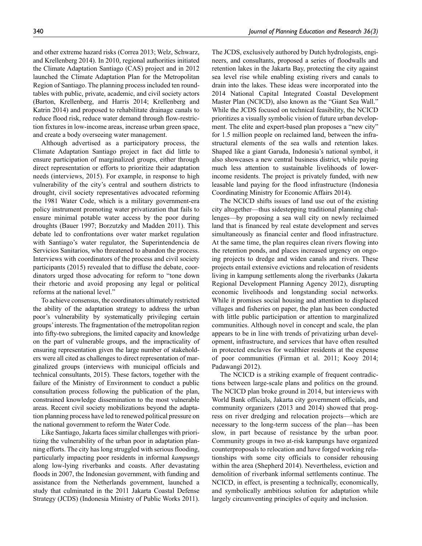and other extreme hazard risks (Correa 2013; Welz, Schwarz, and Krellenberg 2014). In 2010, regional authorities initiated the Climate Adaptation Santiago (CAS) project and in 2012 launched the Climate Adaptation Plan for the Metropolitan Region of Santiago. The planning process included ten roundtables with public, private, academic, and civil society actors (Barton, Krellenberg, and Harris 2014; Krellenberg and Katrin 2014) and proposed to rehabilitate drainage canals to reduce flood risk, reduce water demand through flow-restriction fixtures in low-income areas, increase urban green space, and create a body overseeing water management.

Although advertised as a participatory process, the Climate Adaptation Santiago project in fact did little to ensure participation of marginalized groups, either through direct representation or efforts to prioritize their adaptation needs (interviews, 2015). For example, in response to high vulnerability of the city's central and southern districts to drought, civil society representatives advocated reforming the 1981 Water Code, which is a military government-era policy instrument promoting water privatization that fails to ensure minimal potable water access by the poor during droughts (Bauer 1997; Borzutzky and Madden 2011). This debate led to confrontations over water market regulation with Santiago's water regulator, the Superintendencia de Servicios Sanitarios, who threatened to abandon the process. Interviews with coordinators of the process and civil society participants (2015) revealed that to diffuse the debate, coordinators urged those advocating for reform to "tone down their rhetoric and avoid proposing any legal or political reforms at the national level."

To achieve consensus, the coordinators ultimately restricted the ability of the adaptation strategy to address the urban poor's vulnerability by systematically privileging certain groups' interests. The fragmentation of the metropolitan region into fifty-two subregions, the limited capacity and knowledge on the part of vulnerable groups, and the impracticality of ensuring representation given the large number of stakeholders were all cited as challenges to direct representation of marginalized groups (interviews with municipal officials and technical consultants, 2015). These factors, together with the failure of the Ministry of Environment to conduct a public consultation process following the publication of the plan, constrained knowledge dissemination to the most vulnerable areas. Recent civil society mobilizations beyond the adaptation planning process have led to renewed political pressure on the national government to reform the Water Code.

Like Santiago, Jakarta faces similar challenges with prioritizing the vulnerability of the urban poor in adaptation planning efforts. The city has long struggled with serious flooding, particularly impacting poor residents in informal *kampungs* along low-lying riverbanks and coasts. After devastating floods in 2007, the Indonesian government, with funding and assistance from the Netherlands government, launched a study that culminated in the 2011 Jakarta Coastal Defense Strategy (JCDS) (Indonesia Ministry of Public Works 2011). The JCDS, exclusively authored by Dutch hydrologists, engineers, and consultants, proposed a series of floodwalls and retention lakes in the Jakarta Bay, protecting the city against sea level rise while enabling existing rivers and canals to drain into the lakes. These ideas were incorporated into the 2014 National Capital Integrated Coastal Development Master Plan (NCICD), also known as the "Giant Sea Wall." While the JCDS focused on technical feasibility, the NCICD prioritizes a visually symbolic vision of future urban development. The elite and expert-based plan proposes a "new city" for 1.5 million people on reclaimed land, between the infrastructural elements of the sea walls and retention lakes. Shaped like a giant Garuda, Indonesia's national symbol, it also showcases a new central business district, while paying much less attention to sustainable livelihoods of lowerincome residents. The project is privately funded, with new leasable land paying for the flood infrastructure (Indonesia Coordinating Ministry for Economic Affairs 2014).

The NCICD shifts issues of land use out of the existing city altogether—thus sidestepping traditional planning challenges—by proposing a sea wall city on newly reclaimed land that is financed by real estate development and serves simultaneously as financial center and flood infrastructure. At the same time, the plan requires clean rivers flowing into the retention ponds, and places increased urgency on ongoing projects to dredge and widen canals and rivers. These projects entail extensive evictions and relocation of residents living in kampung settlements along the riverbanks (Jakarta Regional Development Planning Agency 2012), disrupting economic livelihoods and longstanding social networks. While it promises social housing and attention to displaced villages and fisheries on paper, the plan has been conducted with little public participation or attention to marginalized communities. Although novel in concept and scale, the plan appears to be in line with trends of privatizing urban development, infrastructure, and services that have often resulted in protected enclaves for wealthier residents at the expense of poor communities (Firman et al. 2011; Kooy 2014; Padawangi 2012).

The NCICD is a striking example of frequent contradictions between large-scale plans and politics on the ground. The NCICD plan broke ground in 2014, but interviews with World Bank officials, Jakarta city government officials, and community organizers (2013 and 2014) showed that progress on river dredging and relocation projects—which are necessary to the long-term success of the plan—has been slow, in part because of resistance by the urban poor. Community groups in two at-risk kampungs have organized counterproposals to relocation and have forged working relationships with some city officials to consider rehousing within the area (Shepherd 2014). Nevertheless, eviction and demolition of riverbank informal settlements continue. The NCICD, in effect, is presenting a technically, economically, and symbolically ambitious solution for adaptation while largely circumventing principles of equity and inclusion.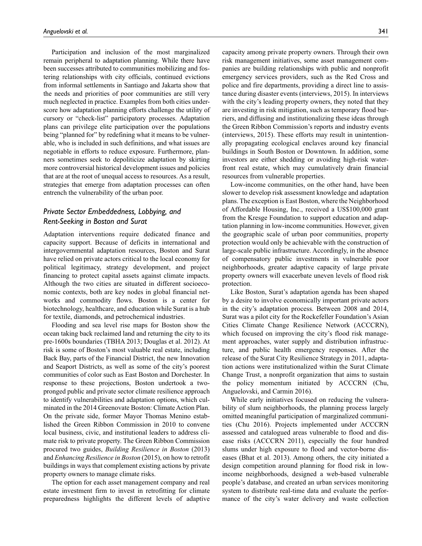Participation and inclusion of the most marginalized remain peripheral to adaptation planning. While there have been successes attributed to communities mobilizing and fostering relationships with city officials, continued evictions from informal settlements in Santiago and Jakarta show that the needs and priorities of poor communities are still very much neglected in practice. Examples from both cities underscore how adaptation planning efforts challenge the utility of cursory or "check-list" participatory processes. Adaptation plans can privilege elite participation over the populations being "planned for" by redefining what it means to be vulnerable, who is included in such definitions, and what issues are negotiable in efforts to reduce exposure. Furthermore, planners sometimes seek to depoliticize adaptation by skirting more controversial historical development issues and policies that are at the root of unequal access to resources. As a result, strategies that emerge from adaptation processes can often entrench the vulnerability of the urban poor.

## *Private Sector Embeddedness, Lobbying, and Rent-Seeking in Boston and Surat*

Adaptation interventions require dedicated finance and capacity support. Because of deficits in international and intergovernmental adaptation resources, Boston and Surat have relied on private actors critical to the local economy for political legitimacy, strategy development, and project financing to protect capital assets against climate impacts. Although the two cities are situated in different socioeconomic contexts, both are key nodes in global financial networks and commodity flows. Boston is a center for biotechnology, healthcare, and education while Surat is a hub for textile, diamonds, and petrochemical industries.

Flooding and sea level rise maps for Boston show the ocean taking back reclaimed land and returning the city to its pre-1600s boundaries (TBHA 2013; Douglas et al. 2012). At risk is some of Boston's most valuable real estate, including Back Bay, parts of the Financial District, the new Innovation and Seaport Districts, as well as some of the city's poorest communities of color such as East Boston and Dorchester. In response to these projections, Boston undertook a twopronged public and private sector climate resilience approach to identify vulnerabilities and adaptation options, which culminated in the 2014 Greenovate Boston: Climate Action Plan. On the private side, former Mayor Thomas Menino established the Green Ribbon Commission in 2010 to convene local business, civic, and institutional leaders to address climate risk to private property. The Green Ribbon Commission procured two guides, *Building Resilience in Boston* (2013) and *Enhancing Resilience in Boston* (2015), on how to retrofit buildings in ways that complement existing actions by private property owners to manage climate risks.

The option for each asset management company and real estate investment firm to invest in retrofitting for climate preparedness highlights the different levels of adaptive

capacity among private property owners. Through their own risk management initiatives, some asset management companies are building relationships with public and nonprofit emergency services providers, such as the Red Cross and police and fire departments, providing a direct line to assistance during disaster events (interviews, 2015). In interviews with the city's leading property owners, they noted that they are investing in risk mitigation, such as temporary flood barriers, and diffusing and institutionalizing these ideas through the Green Ribbon Commission's reports and industry events (interviews, 2015). These efforts may result in unintentionally propagating ecological enclaves around key financial buildings in South Boston or Downtown. In addition, some investors are either shedding or avoiding high-risk waterfront real estate, which may cumulatively drain financial resources from vulnerable properties.

Low-income communities, on the other hand, have been slower to develop risk assessment knowledge and adaptation plans. The exception is East Boston, where the Neighborhood of Affordable Housing, Inc., received a US\$100,000 grant from the Kresge Foundation to support education and adaptation planning in low-income communities. However, given the geographic scale of urban poor communities, property protection would only be achievable with the construction of large-scale public infrastructure. Accordingly, in the absence of compensatory public investments in vulnerable poor neighborhoods, greater adaptive capacity of large private property owners will exacerbate uneven levels of flood risk protection.

Like Boston, Surat's adaptation agenda has been shaped by a desire to involve economically important private actors in the city's adaptation process. Between 2008 and 2014, Surat was a pilot city for the Rockefeller Foundation's Asian Cities Climate Change Resilience Network (ACCCRN), which focused on improving the city's flood risk management approaches, water supply and distribution infrastructure, and public health emergency responses. After the release of the Surat City Resilience Strategy in 2011, adaptation actions were institutionalized within the Surat Climate Change Trust, a nonprofit organization that aims to sustain the policy momentum initiated by ACCCRN (Chu, Anguelovski, and Carmin 2016).

While early initiatives focused on reducing the vulnerability of slum neighborhoods, the planning process largely omitted meaningful participation of marginalized communities (Chu 2016). Projects implemented under ACCCRN assessed and catalogued areas vulnerable to flood and disease risks (ACCCRN 2011), especially the four hundred slums under high exposure to flood and vector-borne diseases (Bhat et al. 2013). Among others, the city initiated a design competition around planning for flood risk in lowincome neighborhoods, designed a web-based vulnerable people's database, and created an urban services monitoring system to distribute real-time data and evaluate the performance of the city's water delivery and waste collection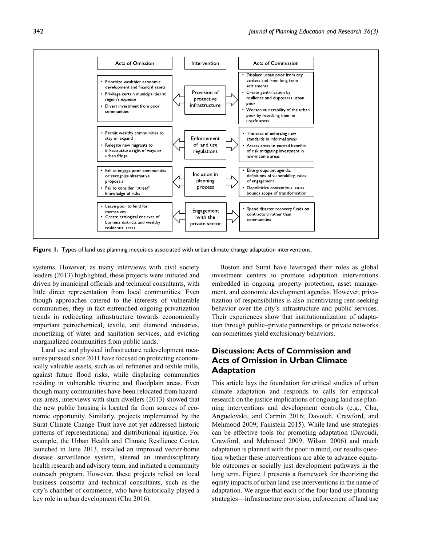

**Figure 1.** Types of land use planning inequities associated with urban climate change adaptation interventions.

systems. However, as many interviews with civil society leaders (2013) highlighted, these projects were initiated and driven by municipal officials and technical consultants, with little direct representation from local communities. Even though approaches catered to the interests of vulnerable communities, they in fact entrenched ongoing privatization trends in redirecting infrastructure towards economically important petrochemical, textile, and diamond industries, monetizing of water and sanitation services, and evicting marginalized communities from public lands.

Land use and physical infrastructure redevelopment measures pursued since 2011 have focused on protecting economically valuable assets, such as oil refineries and textile mills, against future flood risks, while displacing communities residing in vulnerable riverine and floodplain areas. Even though many communities have been relocated from hazardous areas, interviews with slum dwellers (2013) showed that the new public housing is located far from sources of economic opportunity. Similarly, projects implemented by the Surat Climate Change Trust have not yet addressed historic patterns of representational and distributional injustice. For example, the Urban Health and Climate Resilience Center, launched in June 2013, installed an improved vector-borne disease surveillance system, steered an interdisciplinary health research and advisory team, and initiated a community outreach program. However, **t**hese projects relied on local business consortia and technical consultants, such as the city's chamber of commerce, who have historically played a key role in urban development (Chu 2016).

Boston and Surat have leveraged their roles as global investment centers to promote adaptation interventions embedded in ongoing property protection, asset management, and economic development agendas. However, privatization of responsibilities is also incentivizing rent-seeking behavior over the city's infrastructure and public services. Their experiences show that institutionalization of adaptation through public–private partnerships or private networks can sometimes yield exclusionary behaviors.

# **Discussion: Acts of Commission and Acts of Omission in Urban Climate Adaptation**

This article lays the foundation for critical studies of urban climate adaptation and responds to calls for empirical research on the justice implications of ongoing land use planning interventions and development controls (e.g., Chu, Anguelovski, and Carmin 2016; Davoudi, Crawford, and Mehmood 2009; Fainstein 2015). While land use strategies can be effective tools for promoting adaptation (Davoudi, Crawford, and Mehmood 2009; Wilson 2006) and much adaptation is planned with the poor in mind, our results question whether these interventions are able to advance equitable outcomes or socially just development pathways in the long term. Figure 1 presents a framework for theorizing the equity impacts of urban land use interventions in the name of adaptation. We argue that each of the four land use planning strategies—infrastructure provision, enforcement of land use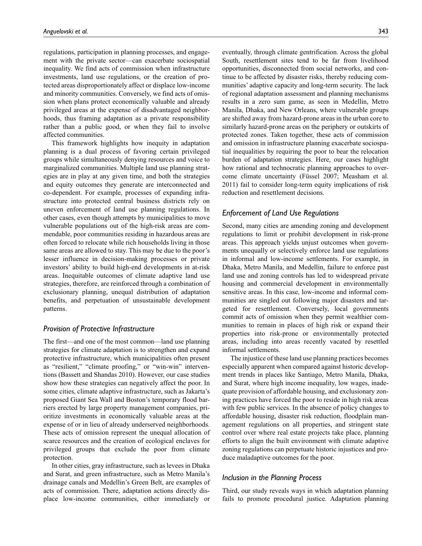regulations, participation in planning processes, and engagement with the private sector—can exacerbate sociospatial inequality. We find acts of commission when infrastructure investments, land use regulations, or the creation of protected areas disproportionately affect or displace low-income and minority communities. Conversely, we find acts of omission when plans protect economically valuable and already privileged areas at the expense of disadvantaged neighborhoods, thus framing adaptation as a private responsibility rather than a public good, or when they fail to involve affected communities.

This framework highlights how inequity in adaptation planning is a dual process of favoring certain privileged groups while simultaneously denying resources and voice to marginalized communities. Multiple land use planning strategies are in play at any given time, and both the strategies and equity outcomes they generate are interconnected and co-dependent. For example, processes of expanding infrastructure into protected central business districts rely on uneven enforcement of land use planning regulations. In other cases, even though attempts by municipalities to move vulnerable populations out of the high-risk areas are commendable, poor communities residing in hazardous areas are often forced to relocate while rich households living in those same areas are allowed to stay. This may be due to the poor's lesser influence in decision-making processes or private investors' ability to build high-end developments in at-risk areas. Inequitable outcomes of climate adaptive land use strategies, therefore, are reinforced through a combination of exclusionary planning, unequal distribution of adaptation benefits, and perpetuation of unsustainable development patterns.

## *Provision of Protective Infrastructure*

The first—and one of the most common—land use planning strategies for climate adaptation is to strengthen and expand protective infrastructure, which municipalities often present as "resilient," "climate proofing," or "win-win" interventions (Bassett and Shandas 2010). However, our case studies show how these strategies can negatively affect the poor. In some cities, climate adaptive infrastructure, such as Jakarta's proposed Giant Sea Wall and Boston's temporary flood barriers erected by large property management companies, prioritize investments in economically valuable areas at the expense of or in lieu of already underserved neighborhoods. These acts of omission represent the unequal allocation of scarce resources and the creation of ecological enclaves for privileged groups that exclude the poor from climate protection.

In other cities, gray infrastructure, such as levees in Dhaka and Surat, and green infrastructure, such as Metro Manila's drainage canals and Medellin's Green Belt, are examples of acts of commission. There, adaptation actions directly displace low-income communities, either immediately or eventually, through climate gentrification. Across the global South, resettlement sites tend to be far from livelihood opportunities, disconnected from social networks, and continue to be affected by disaster risks, thereby reducing communities' adaptive capacity and long-term security. The lack of regional adaptation assessment and planning mechanisms results in a zero sum game, as seen in Medellin, Metro Manila, Dhaka, and New Orleans, where vulnerable groups are shifted away from hazard-prone areas in the urban core to similarly hazard-prone areas on the periphery or outskirts of protected zones. Taken together, these acts of commission and omission in infrastructure planning exacerbate sociospatial inequalities by requiring the poor to bear the relocation burden of adaptation strategies. Here, our cases highlight how rational and technocratic planning approaches to overcome climate uncertainty (Füssel 2007; Measham et al. 2011) fail to consider long-term equity implications of risk reduction and resettlement decisions.

## *Enforcement of Land Use Regulations*

Second, many cities are amending zoning and development regulations to limit or prohibit development in risk-prone areas. This approach yields unjust outcomes when governments unequally or selectively enforce land use regulations in informal and low-income settlements. For example, in Dhaka, Metro Manila, and Medellin, failure to enforce past land use and zoning controls has led to widespread private housing and commercial development in environmentally sensitive areas. In this case, low-income and informal communities are singled out following major disasters and targeted for resettlement. Conversely, local governments commit acts of omission when they permit wealthier communities to remain in places of high risk or expand their properties into risk-prone or environmentally protected areas, including into areas recently vacated by resettled informal settlements.

The injustice of these land use planning practices becomes especially apparent when compared against historic development trends in places like Santiago, Metro Manila, Dhaka, and Surat, where high income inequality, low wages, inadequate provision of affordable housing, and exclusionary zoning practices have forced the poor to reside in high risk areas with few public services. In the absence of policy changes to affordable housing, disaster risk reduction, floodplain management regulations on all properties, and stringent state control over where real estate projects take place, planning efforts to align the built environment with climate adaptive zoning regulations can perpetuate historic injustices and produce maladaptive outcomes for the poor.

## *Inclusion in the Planning Process*

Third, our study reveals ways in which adaptation planning fails to promote procedural justice. Adaptation planning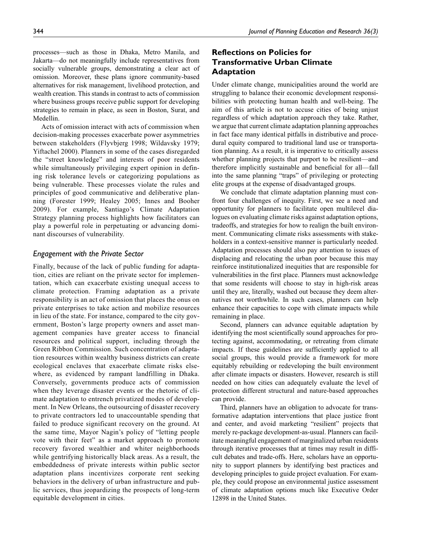processes—such as those in Dhaka, Metro Manila, and Jakarta—do not meaningfully include representatives from socially vulnerable groups, demonstrating a clear act of omission. Moreover, these plans ignore community-based alternatives for risk management, livelihood protection, and wealth creation. This stands in contrast to acts of commission where business groups receive public support for developing strategies to remain in place, as seen in Boston, Surat, and Medellin.

Acts of omission interact with acts of commission when decision-making processes exacerbate power asymmetries between stakeholders (Flyvbjerg 1998; Wildavsky 1979; Yiftachel 2000). Planners in some of the cases disregarded the "street knowledge" and interests of poor residents while simultaneously privileging expert opinion in defining risk tolerance levels or categorizing populations as being vulnerable. These processes violate the rules and principles of good communicative and deliberative planning (Forester 1999; Healey 2005; Innes and Booher 2009). For example, Santiago's Climate Adaptation Strategy planning process highlights how facilitators can play a powerful role in perpetuating or advancing dominant discourses of vulnerability.

## *Engagement with the Private Sector*

Finally, because of the lack of public funding for adaptation, cities are reliant on the private sector for implementation, which can exacerbate existing unequal access to climate protection. Framing adaptation as a private responsibility is an act of omission that places the onus on private enterprises to take action and mobilize resources in lieu of the state. For instance, compared to the city government, Boston's large property owners and asset management companies have greater access to financial resources and political support, including through the Green Ribbon Commission. Such concentration of adaptation resources within wealthy business districts can create ecological enclaves that exacerbate climate risks elsewhere, as evidenced by rampant landfilling in Dhaka. Conversely, governments produce acts of commission when they leverage disaster events or the rhetoric of climate adaptation to entrench privatized modes of development. In New Orleans, the outsourcing of disaster recovery to private contractors led to unaccountable spending that failed to produce significant recovery on the ground. At the same time, Mayor Nagin's policy of "letting people vote with their feet" as a market approach to promote recovery favored wealthier and whiter neighborhoods while gentrifying historically black areas. As a result, the embeddedness of private interests within public sector adaptation plans incentivizes corporate rent seeking behaviors in the delivery of urban infrastructure and public services, thus jeopardizing the prospects of long-term equitable development in cities.

# **Reflections on Policies for Transformative Urban Climate Adaptation**

Under climate change, municipalities around the world are struggling to balance their economic development responsibilities with protecting human health and well-being. The aim of this article is not to accuse cities of being unjust regardless of which adaptation approach they take. Rather, we argue that current climate adaptation planning approaches in fact face many identical pitfalls in distributive and procedural equity compared to traditional land use or transportation planning. As a result, it is imperative to critically assess whether planning projects that purport to be resilient—and therefore implicitly sustainable and beneficial for all—fall into the same planning "traps" of privileging or protecting elite groups at the expense of disadvantaged groups.

We conclude that climate adaptation planning must confront four challenges of inequity. First, we see a need and opportunity for planners to facilitate open multilevel dialogues on evaluating climate risks against adaptation options, tradeoffs, and strategies for how to realign the built environment. Communicating climate risks assessments with stakeholders in a context-sensitive manner is particularly needed. Adaptation processes should also pay attention to issues of displacing and relocating the urban poor because this may reinforce institutionalized inequities that are responsible for vulnerabilities in the first place. Planners must acknowledge that some residents will choose to stay in high-risk areas until they are, literally, washed out because they deem alternatives not worthwhile. In such cases, planners can help enhance their capacities to cope with climate impacts while remaining in place.

Second, planners can advance equitable adaptation by identifying the most scientifically sound approaches for protecting against, accommodating, or retreating from climate impacts. If these guidelines are sufficiently applied to all social groups, this would provide a framework for more equitably rebuilding or redeveloping the built environment after climate impacts or disasters. However, research is still needed on how cities can adequately evaluate the level of protection different structural and nature-based approaches can provide.

Third, planners have an obligation to advocate for transformative adaptation interventions that place justice front and center, and avoid marketing "resilient" projects that merely re-package development-as-usual. Planners can facilitate meaningful engagement of marginalized urban residents through iterative processes that at times may result in difficult debates and trade-offs. Here, scholars have an opportunity to support planners by identifying best practices and developing principles to guide project evaluation. For example, they could propose an environmental justice assessment of climate adaptation options much like Executive Order 12898 in the United States.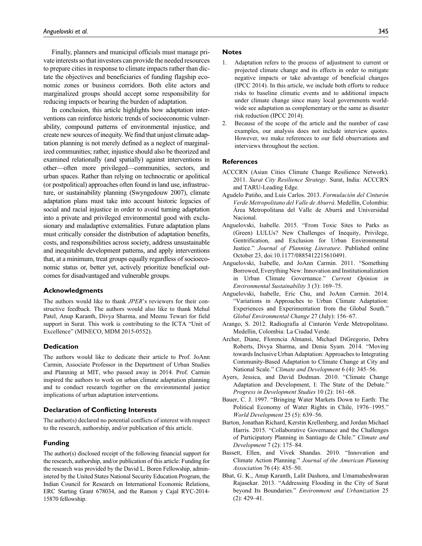Finally, planners and municipal officials must manage private interests so that investors can provide the needed resources to prepare cities in response to climate impacts rather than dictate the objectives and beneficiaries of funding flagship economic zones or business corridors. Both elite actors and marginalized groups should accept some responsibility for reducing impacts or bearing the burden of adaptation.

In conclusion, this article highlights how adaptation interventions can reinforce historic trends of socioeconomic vulnerability, compound patterns of environmental injustice, and create new sources of inequity. We find that unjust climate adaptation planning is not merely defined as a neglect of marginalized communities; rather, injustice should also be theorized and examined relationally (and spatially) against interventions in other—often more privileged—communities, sectors, and urban spaces. Rather than relying on technocratic or apolitical (or postpolitical) approaches often found in land use, infrastructure, or sustainability planning (Swyngedouw 2007), climate adaptation plans must take into account historic legacies of social and racial injustice in order to avoid turning adaptation into a private and privileged environmental good with exclusionary and maladaptive externalities. Future adaptation plans must critically consider the distribution of adaptation benefits, costs, and responsibilities across society, address unsustainable and inequitable development patterns, and apply interventions that, at a minimum, treat groups equally regardless of socioeconomic status or, better yet, actively prioritize beneficial outcomes for disadvantaged and vulnerable groups.

## **Acknowledgments**

The authors would like to thank *JPER*'s reviewers for their constructive feedback. The authors would also like to thank Mehul Patel, Anup Karanth, Divya Sharma, and Meenu Tewari for field support in Surat. This work is contributing to the ICTA "Unit of Excellence" (MINECO, MDM 2015-0552).

#### **Dedication**

The authors would like to dedicate their article to Prof. JoAnn Carmin, Associate Professor in the Department of Urban Studies and Planning at MIT, who passed away in 2014. Prof. Carmin inspired the authors to work on urban climate adaptation planning and to conduct research together on the environmental justice implications of urban adaptation interventions.

#### **Declaration of Conflicting Interests**

The author(s) declared no potential conflicts of interest with respect to the research, authorship, and/or publication of this article.

#### **Funding**

The author(s) disclosed receipt of the following financial support for the research, authorship, and/or publication of this article: Funding for the research was provided by the David L. Boren Fellowship, administered by the United States National Security Education Program, the Indian Council for Research on International Economic Relations, ERC Starting Grant 678034, and the Ramon y Cajal RYC-2014- 15870 fellowship.

#### **Notes**

- 1. Adaptation refers to the process of adjustment to current or projected climate change and its effects in order to mitigate negative impacts or take advantage of beneficial changes (IPCC 2014). In this article, we include both efforts to reduce risks to baseline climatic events and to additional impacts under climate change since many local governments worldwide see adaptation as complementary or the same as disaster risk reduction (IPCC 2014).
- 2. Because of the scope of the article and the number of case examples, our analysis does not include interview quotes. However, we make references to our field observations and interviews throughout the section.

## **References**

- ACCCRN (Asian Cities Climate Change Resilience Network). 2011. *Surat City Resilience Strategy*. Surat, India: ACCCRN and TARU-Leading Edge.
- Agudelo Patiño, and Luis Carlos. 2013. *Formulación del Cinturón Verde Metropolitano del Valle de Aburrá*. Medellín, Colombia: Área Metropolitana del Valle de Aburrá and Universidad Nacional.
- Anguelovski, Isabelle. 2015. "From Toxic Sites to Parks as (Green) LULUs? New Challenges of Inequity, Privilege, Gentrification, and Exclusion for Urban Environmental Justice." *Journal of Planning Literature*. Published online October 23, doi:10.1177/0885412215610491.
- Anguelovski, Isabelle, and JoAnn Carmin. 2011. "Something Borrowed, Everything New: Innovation and Institutionalization in Urban Climate Governance." *Current Opinion in Environmental Sustainability* 3 (3): 169–75.
- Anguelovski, Isabelle, Eric Chu, and JoAnn Carmin. 2014. "Variations in Approaches to Urban Climate Adaptation: Experiences and Experimentation from the Global South." *Global Environmental Change* 27 (July): 156–67.
- Arango, S. 2012. Radiografía al Cinturón Verde Metropolitano. Medellin, Colombia: La Ciudad Verde.
- Archer, Diane, Florencia Almansi, Michael DiGregorio, Debra Roberts, Divya Sharma, and Denia Syam. 2014. "Moving towards Inclusive Urban Adaptation: Approaches to Integrating Community-Based Adaptation to Climate Change at City and National Scale." *Climate and Development* 6 (4): 345–56.
- Ayers, Jessica, and David Dodman. 2010. "Climate Change Adaptation and Development, I: The State of the Debate." *Progress in Development Studies* 10 (2): 161–68.
- Bauer, C. J. 1997. "Bringing Water Markets Down to Earth: The Political Economy of Water Rights in Chile, 1976–1995." *World Development* 25 (5): 639–56.
- Barton, Jonathan Richard, Kerstin Krellenberg, and Jordan Michael Harris. 2015. "Collaborative Governance and the Challenges of Participatory Planning in Santiago de Chile." *Climate and Development* 7 (2): 175–84.
- Bassett, Ellen, and Vivek Shandas. 2010. "Innovation and Climate Action Planning." *Journal of the American Planning Association* 76 (4): 435–50.
- Bhat, G. K., Anup Karanth, Lalit Dashora, and Umamaheshwaran Rajasekar. 2013. "Addressing Flooding in the City of Surat beyond Its Boundaries." *Environment and Urbanization* 25 (2): 429–41.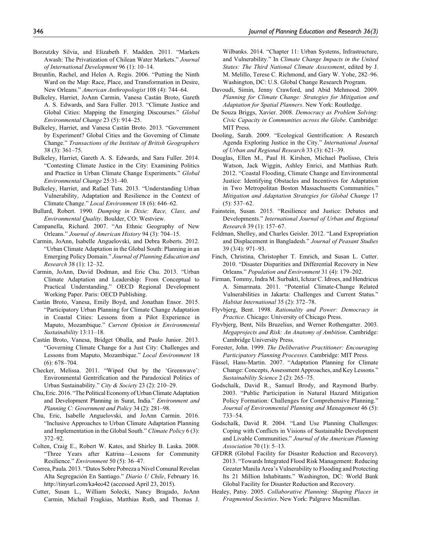- Borzutzky Silvia, and Elizabeth F. Madden. 2011. "Markets Awash: The Privatization of Chilean Water Markets." *Journal of International Development* 96 (1): 10–14.
- Breunlin, Rachel, and Helen A. Regis. 2006. "Putting the Ninth Ward on the Map: Race, Place, and Transformation in Desire, New Orleans." *American Anthropologist* 108 (4): 744–64.
- Bulkeley, Harriet, JoAnn Carmin, Vanesa Castán Broto, Gareth A. S. Edwards, and Sara Fuller. 2013. "Climate Justice and Global Cities: Mapping the Emerging Discourses." *Global Environmental Change* 23 (5): 914–25.
- Bulkeley, Harriet, and Vanesa Castán Broto. 2013. "Government by Experiment? Global Cities and the Governing of Climate Change." *Transactions of the Institute of British Geographers* 38 (3): 361–75.
- Bulkeley, Harriet, Gareth A. S. Edwards, and Sara Fuller. 2014. "Contesting Climate Justice in the City: Examining Politics and Practice in Urban Climate Change Experiments." *Global Environmental Change* 25:31–40.
- Bulkeley, Harriet, and Rafael Tuts. 2013. "Understanding Urban Vulnerability, Adaptation and Resilience in the Context of Climate Change." *Local Environment* 18 (6): 646–62.
- Bullard, Robert. 1990. *Dumping in Dixie: Race, Class, and Environmental Quality*. Boulder, CO: Westview.
- Campanella, Richard. 2007. "An Ethnic Geography of New Orleans." *Journal of American History* 94 (3): 704–15.
- Carmin, JoAnn, Isabelle Anguelovski, and Debra Roberts. 2012. "Urban Climate Adaptation in the Global South: Planning in an Emerging Policy Domain." *Journal of Planning Education and Research* 38 (1): 12–32.
- Carmin, JoAnn, David Dodman, and Eric Chu. 2013. "Urban Climate Adaptation and Leadership: From Conceptual to Practical Understanding." OECD Regional Development Working Paper. Paris: OECD Publishing.
- Castán Broto, Vanesa, Emily Boyd, and Jonathan Ensor. 2015. "Participatory Urban Planning for Climate Change Adaptation in Coastal Cities: Lessons from a Pilot Experience in Maputo, Mozambique." *Current Opinion in Environmental Sustainability* 13:11–18.
- Castán Broto, Vanesa, Bridget Oballa, and Paulo Junior. 2013. "Governing Climate Change for a Just City: Challenges and Lessons from Maputo, Mozambique." *Local Environment* 18 (6): 678–704.
- Checker, Melissa. 2011. "Wiped Out by the 'Greenwave': Environmental Gentrification and the Paradoxical Politics of Urban Sustainability." *City & Society* 23 (2): 210–29.
- Chu, Eric. 2016. "The Political Economy of Urban Climate Adaptation and Development Planning in Surat, India." *Environment and Planning C: Government and Policy* 34 (2): 281–98.
- Chu, Eric, Isabelle Anguelovski, and JoAnn Carmin. 2016. "Inclusive Approaches to Urban Climate Adaptation Planning and Implementation in the Global South." *Climate Policy* 6 (3): 372–92.
- Colten, Craig E., Robert W. Kates, and Shirley B. Laska. 2008. "Three Years after Katrina—Lessons for Community Resilience." *Environment* 50 (5): 36–47.
- Correa, Paula. 2013. "Datos Sobre Pobreza a Nivel Comunal Revelan Alta Segregación En Santiago." *Diario U Chile*, February 16. <http://tinyurl.com/ka4eo42> (accessed April 23, 2015).
- Cutter, Susan L., William Solecki, Nancy Bragado, JoAnn Carmin, Michail Fragkias, Matthias Ruth, and Thomas J.

Wilbanks. 2014. "Chapter 11: Urban Systems, Infrastructure, and Vulnerability." In *Climate Change Impacts in the United States: The Third National Climate Assessment*, edited by J. M. Melillo, Terese C. Richmond, and Gary W. Yohe, 282–96. Washington, DC: U.S. Global Change Research Program.

- Davoudi, Simin, Jenny Crawford, and Abid Mehmood. 2009. *Planning for Climate Change: Strategies for Mitigation and Adaptation for Spatial Planners*. New York: Routledge.
- De Souza Briggs, Xavier. 2008. *Democracy as Problem Solving: Civic Capacity in Communities across the Globe*. Cambridge: MIT Press.
- Dooling, Sarah. 2009. "Ecological Gentrification: A Research Agenda Exploring Justice in the City." *International Journal of Urban and Regional Research* 33 (3): 621–39.
- Douglas, Ellen M., Paul H. Kirshen, Michael Paolisso, Chris Watson, Jack Wiggin, Ashley Enrici, and Matthias Ruth. 2012. "Coastal Flooding, Climate Change and Environmental Justice: Identifying Obstacles and Incentives for Adaptation in Two Metropolitan Boston Massachusetts Communities." *Mitigation and Adaptation Strategies for Global Change* 17 (5): 537–62.
- Fainstein, Susan. 2015. "Resilience and Justice: Debates and Developments." *International Journal of Urban and Regional Research* 39 (1): 157–67.
- Feldman, Shelley, and Charles Geisler. 2012. "Land Expropriation and Displacement in Bangladesh." *Journal of Peasant Studies* 39 (3/4): 971–93.
- Finch, Christina, Christopher T. Emrich, and Susan L. Cutter. 2010. "Disaster Disparities and Differential Recovery in New Orleans." *Population and Environment* 31 (4): 179–202.
- Firman, Tommy, Indra M. Surbakti, Ichzar C. Idroes, and Hendricus A. Simarmata. 2011. "Potential Climate-Change Related Vulnerabilities in Jakarta: Challenges and Current Status." *Habitat International* 35 (2): 372–78.
- Flyvbjerg, Bent. 1998. *Rationality and Power: Democracy in Practice*. Chicago: University of Chicago Press.
- Flyvbjerg, Bent, Nils Bruzelius, and Werner Rothengatter. 2003. *Megaprojects and Risk: An Anatomy of Ambition*. Cambridge: Cambridge University Press.
- Forester, John. 1999. *The Deliberative Practitioner: Encouraging Participatory Planning Processes*. Cambridge: MIT Press.
- Füssel, Hans-Martin. 2007. "Adaptation Planning for Climate Change: Concepts, Assessment Approaches, and Key Lessons." *Sustainability Science* 2 (2): 265–75.
- Godschalk, David R., Samuel Brody, and Raymond Burby. 2003. "Public Participation in Natural Hazard Mitigation Policy Formation: Challenges for Comprehensive Planning." *Journal of Environmental Planning and Management* 46 (5): 733–54.
- Godschalk, David R. 2004. "Land Use Planning Challenges: Coping with Conflicts in Visions of Sustainable Development and Livable Communities." *Journal of the American Planning Association* 70 (1): 5–13.
- GFDRR (Global Facility for Disaster Reduction and Recovery). 2013. "Towards Integrated Flood Risk Management: Reducing Greater Manila Area's Vulnerability to Flooding and Protecting Its 21 Million Inhabitants." Washington, DC: World Bank Global Facility for Disaster Reduction and Recovery.
- Healey, Patsy. 2005. *Collaborative Planning: Shaping Places in Fragmented Societies*. New York: Palgrave Macmillan.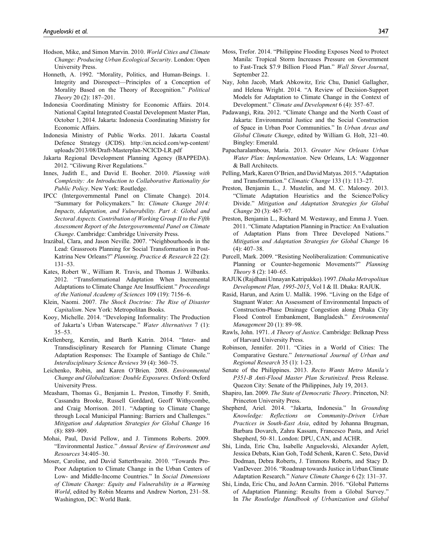- Hodson, Mike, and Simon Marvin. 2010. *World Cities and Climate Change: Producing Urban Ecological Security*. London: Open University Press.
- Honneth, A. 1992. "Morality, Politics, and Human-Beings. 1. Integrity and Disrespect—Principles of a Conception of Morality Based on the Theory of Recognition." *Political Theory* 20 (2): 187–201.
- Indonesia Coordinating Ministry for Economic Affairs. 2014. National Capital Integrated Coastal Development Master Plan, October 1, 2014. Jakarta: Indonesia Coordinating Ministry for Economic Affairs.
- Indonesia Ministry of Public Works. 2011. Jakarta Coastal Defence Strategy (JCDS). [http://en.ncicd.com/wp-content/](http://en.ncicd.com/wp-content/uploads/2013/08/Draft-Masterplan-NCICD-LR.pdf) [uploads/2013/08/Draft-Masterplan-NCICD-LR.pdf](http://en.ncicd.com/wp-content/uploads/2013/08/Draft-Masterplan-NCICD-LR.pdf)
- Jakarta Regional Development Planning Agency (BAPPEDA). 2012. "Ciliwung River Regulations."
- Innes, Judith E., and David E. Booher. 2010. *Planning with Complexity: An Introduction to Collaborative Rationality for Public Policy*. New York: Routledge.
- IPCC (Intergovernmental Panel on Climate Change). 2014. "Summary for Policymakers." In: *Climate Change 2014: Impacts, Adaptation, and Vulnerability. Part A: Global and Sectoral Aspects. Contribution of Working Group II to the Fifth Assessment Report of the Intergovernmental Panel on Climate Change*. Cambridge: Cambridge University Press.
- Irazábal, Clara, and Jason Neville. 2007. "Neighbourhoods in the Lead: Grassroots Planning for Social Transformation in Post-Katrina New Orleans?" *Planning, Practice & Research* 22 (2): 131–53.
- Kates, Robert W., William R. Travis, and Thomas J. Wilbanks. 2012. "Transformational Adaptation When Incremental Adaptations to Climate Change Are Insufficient." *Proceedings of the National Academy of Sciences* 109 (19): 7156–6.
- Klein, Naomi. 2007. *The Shock Doctrine: The Rise of Disaster Capitalism*. New York: Metropolitan Books.
- Kooy, Michelle. 2014. "Developing Informality: The Production of Jakarta's Urban Waterscape." *Water Alternatives* 7 (1): 35–53.
- Krellenberg, Kerstin, and Barth Katrin. 2014. "Inter- and Transdisciplinary Research for Planning Climate Change Adaptation Responses: The Example of Santiago de Chile." *Interdisciplinary Science Reviews* 39 (4): 360–75.
- Leichenko, Robin, and Karen O'Brien. 2008. *Environmental Change and Globalization: Double Exposures*. Oxford: Oxford University Press.
- Measham, Thomas G., Benjamin L. Preston, Timothy F. Smith, Cassandra Brooke, Russell Gorddard, Geoff Withycombe, and Craig Morrison. 2011. "Adapting to Climate Change through Local Municipal Planning: Barriers and Challenges." *Mitigation and Adaptation Strategies for Global Change* 16 (8): 889–909.
- Mohai, Paul, David Pellow, and J. Timmons Roberts. 2009. "Environmental Justice." *Annual Review of Environment and Resources* 34:405–30.
- Moser, Caroline, and David Satterthwaite. 2010. "Towards Pro-Poor Adaptation to Climate Change in the Urban Centers of Low- and Middle-Income Countries." In *Social Dimensions of Climate Change: Equity and Vulnerability in a Warming World*, edited by Robin Mearns and Andrew Norton, 231–58. Washington, DC: World Bank.
- Moss, Trefor. 2014. "Philippine Flooding Exposes Need to Protect Manila: Tropical Storm Increases Pressure on Government to Fast-Track \$7.9 Billion Flood Plan." *Wall Street Journal*, September 22.
- Nay, John Jacob, Mark Abkowitz, Eric Chu, Daniel Gallagher, and Helena Wright. 2014. "A Review of Decision-Support Models for Adaptation to Climate Change in the Context of Development." *Climate and Development* 6 (4): 357–67.
- Padawangi, Rita. 2012. "Climate Change and the North Coast of Jakarta: Environmental Justice and the Social Construction of Space in Urban Poor Communities." In *Urban Areas and Global Climate Change*, edited by William G. Holt, 321–40. Bingley: Emerald.
- Papacharalambous, Maria. 2013. *Greater New Orleans Urban Water Plan: Implementation*. New Orleans, LA: Waggonner & Ball Architects.
- Pelling, Mark, Karen O'Brien, and David Matyas. 2015. "Adaptation and Transformation." *Climatic Change* 133 (1): 113–27.
- Preston, Benjamin L., J. Mustelin, and M. C. Maloney. 2013. "Climate Adaptation Heuristics and the Science/Policy Divide." *Mitigation and Adaptation Strategies for Global Change* 20 (3): 467–97.
- Preston, Benjamin L., Richard M. Westaway, and Emma J. Yuen. 2011. "Climate Adaptation Planning in Practice: An Evaluation of Adaptation Plans from Three Developed Nations." *Mitigation and Adaptation Strategies for Global Change* 16 (4): 407–38.
- Purcell, Mark. 2009. "Resisting Neoliberalization: Communicative Planning or Counter-hegemonic Movements?" *Planning Theory* 8 (2): 140–65.
- RAJUK (Rajdhani Unnayan Katripakko). 1997. *Dhaka Metropolitan Development Plan, 1995-2015*, Vol I & II. Dhaka: RAJUK.
- Rasid, Harun, and Azim U. Mallik. 1996. "Living on the Edge of Stagnant Water: An Assessment of Environmental Impacts of Construction-Phase Drainage Congestion along Dhaka City Flood Control Embankment, Bangladesh." *Environmental Management* 20 (1): 89–98.
- Rawls, John. 1971. *A Theory of Justice*. Cambridge: Belknap Press of Harvard University Press.
- Robinson, Jennifer. 2011. "Cities in a World of Cities: The Comparative Gesture." *International Journal of Urban and Regional Research* 35 (1): 1-23.
- Senate of the Philippines. 2013. *Recto Wants Metro Manila's P351-B Anti-Flood Master Plan Scrutinized*. Press Release. Quezon City: Senate of the Philippines, July 19, 2013.
- Shapiro, Ian. 2009. *The State of Democratic Theory*. Princeton, NJ: Princeton University Press.
- Shepherd, Ariel. 2014. "Jakarta, Indonesia." In *Grounding Knowledge: Reflections on Community-Driven Urban Practices in South-East Asia*, edited by Johanna Brugman, Barbara Dovarch, Zahra Kassam, Francesco Pasta, and Ariel Shepherd, 50–81. London: DPU, CAN, and ACHR.
- Shi, Linda, Eric Chu, Isabelle Anguelovski, Alexander Aylett, Jessica Debats, Kian Goh, Todd Schenk, Karen C. Seto, David Dodman, Debra Roberts, J. Timmons Roberts, and Stacy D. VanDeveer. 2016. "Roadmap towards Justice in Urban Climate Adaptation Research." *Nature Climate Change* 6 (2): 131–37.
- Shi, Linda, Eric Chu, and JoAnn Carmin. 2016. "Global Patterns of Adaptation Planning: Results from a Global Survey." In *The Routledge Handbook of Urbanization and Global*